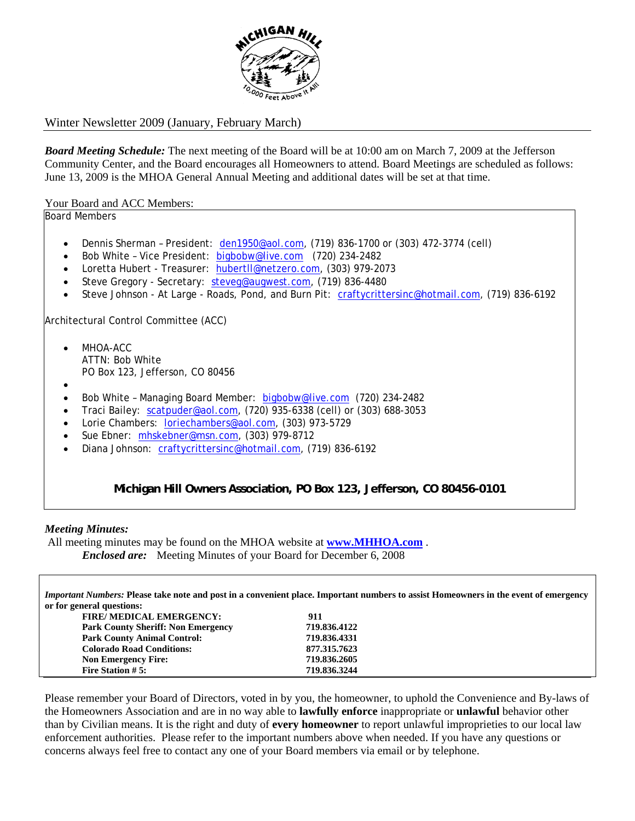

## Winter Newsletter 2009 (January, February March)

*Board Meeting Schedule:* The next meeting of the Board will be at 10:00 am on March 7, 2009 at the Jefferson Community Center, and the Board encourages all Homeowners to attend. Board Meetings are scheduled as follows: June 13, 2009 is the MHOA General Annual Meeting and additional dates will be set at that time.

### Your Board and ACC Members:

Board Members

- Dennis Sherman President:  $den1950@aol.com$ ,  $(719)$  836-1700 or  $(303)$  472-3774 (cell)
- Bob White Vice President: bigbobw@live.com (720) 234-2482
- Loretta Hubert Treasurer: hubertll@netzero.com, (303) 979-2073
- Steve Gregory Secretary: steveg@augwest.com, (719) 836-4480
- Steve Johnson At Large Roads, Pond, and Burn Pit: craftycrittersinc@hotmail.com, (719) 836-6192

Architectural Control Committee (ACC)

- MHOA-ACC ATTN: Bob White PO Box 123, Jefferson, CO 80456
- •
- Bob White Managing Board Member: bigbobw@live.com (720) 234-2482
- Traci Bailey: scatpuder@aol.com, (720) 935-6338 (cell) or (303) 688-3053
- Lorie Chambers: loriechambers@aol.com, (303) 973-5729
- Sue Ebner: mhskebner@msn.com, (303) 979-8712
- Diana Johnson: craftycrittersinc@hotmail.com, (719) 836-6192

**Michigan Hill Owners Association, PO Box 123, Jefferson, CO 80456-0101**

#### *Meeting Minutes:*

All meeting minutes may be found on the MHOA website at **www.MHHOA.com** .

 *Enclosed are:* Meeting Minutes of your Board for December 6, 2008

*Important Numbers:* **Please take note and post in a convenient place. Important numbers to assist Homeowners in the event of emergency or for general questions:** 

| of for general questions.                 |              |  |
|-------------------------------------------|--------------|--|
| <b>FIRE/ MEDICAL EMERGENCY:</b>           | 911          |  |
| <b>Park County Sheriff: Non Emergency</b> | 719.836.4122 |  |
| <b>Park County Animal Control:</b>        | 719.836.4331 |  |
| <b>Colorado Road Conditions:</b>          | 877.315.7623 |  |
| <b>Non Emergency Fire:</b>                | 719.836.2605 |  |
| Fire Station $# 5:$                       | 719.836.3244 |  |
|                                           |              |  |

Please remember your Board of Directors, voted in by you, the homeowner, to uphold the Convenience and By-laws of the Homeowners Association and are in no way able to **lawfully enforce** inappropriate or **unlawful** behavior other than by Civilian means. It is the right and duty of **every homeowner** to report unlawful improprieties to our local law enforcement authorities. Please refer to the important numbers above when needed. If you have any questions or concerns always feel free to contact any one of your Board members via email or by telephone.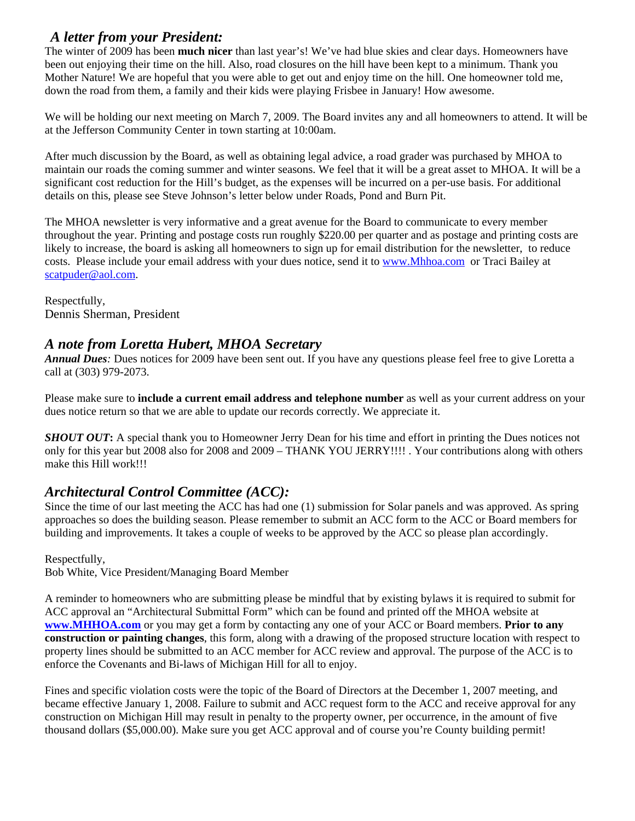# *A letter from your President:*

The winter of 2009 has been **much nicer** than last year's! We've had blue skies and clear days. Homeowners have been out enjoying their time on the hill. Also, road closures on the hill have been kept to a minimum. Thank you Mother Nature! We are hopeful that you were able to get out and enjoy time on the hill. One homeowner told me, down the road from them, a family and their kids were playing Frisbee in January! How awesome.

We will be holding our next meeting on March 7, 2009. The Board invites any and all homeowners to attend. It will be at the Jefferson Community Center in town starting at 10:00am.

After much discussion by the Board, as well as obtaining legal advice, a road grader was purchased by MHOA to maintain our roads the coming summer and winter seasons. We feel that it will be a great asset to MHOA. It will be a significant cost reduction for the Hill's budget, as the expenses will be incurred on a per-use basis. For additional details on this, please see Steve Johnson's letter below under Roads, Pond and Burn Pit.

The MHOA newsletter is very informative and a great avenue for the Board to communicate to every member throughout the year. Printing and postage costs run roughly \$220.00 per quarter and as postage and printing costs are likely to increase, the board is asking all homeowners to sign up for email distribution for the newsletter, to reduce costs. Please include your email address with your dues notice, send it to www.Mhhoa.com or Traci Bailey at scatpuder@aol.com.

Respectfully, Dennis Sherman, President

# *A note from Loretta Hubert, MHOA Secretary*

*Annual Dues:* Dues notices for 2009 have been sent out. If you have any questions please feel free to give Loretta a call at (303) 979-2073.

Please make sure to **include a current email address and telephone number** as well as your current address on your dues notice return so that we are able to update our records correctly. We appreciate it.

*SHOUT OUT*: A special thank you to Homeowner Jerry Dean for his time and effort in printing the Dues notices not only for this year but 2008 also for 2008 and 2009 – THANK YOU JERRY!!!! . Your contributions along with others make this Hill work!!!

# *Architectural Control Committee (ACC):*

Since the time of our last meeting the ACC has had one (1) submission for Solar panels and was approved. As spring approaches so does the building season. Please remember to submit an ACC form to the ACC or Board members for building and improvements. It takes a couple of weeks to be approved by the ACC so please plan accordingly.

## Respectfully,

Bob White, Vice President/Managing Board Member

A reminder to homeowners who are submitting please be mindful that by existing bylaws it is required to submit for ACC approval an "Architectural Submittal Form" which can be found and printed off the MHOA website at **www.MHHOA.com** or you may get a form by contacting any one of your ACC or Board members. **Prior to any construction or painting changes**, this form, along with a drawing of the proposed structure location with respect to property lines should be submitted to an ACC member for ACC review and approval. The purpose of the ACC is to enforce the Covenants and Bi-laws of Michigan Hill for all to enjoy.

Fines and specific violation costs were the topic of the Board of Directors at the December 1, 2007 meeting, and became effective January 1, 2008. Failure to submit and ACC request form to the ACC and receive approval for any construction on Michigan Hill may result in penalty to the property owner, per occurrence, in the amount of five thousand dollars (\$5,000.00). Make sure you get ACC approval and of course you're County building permit!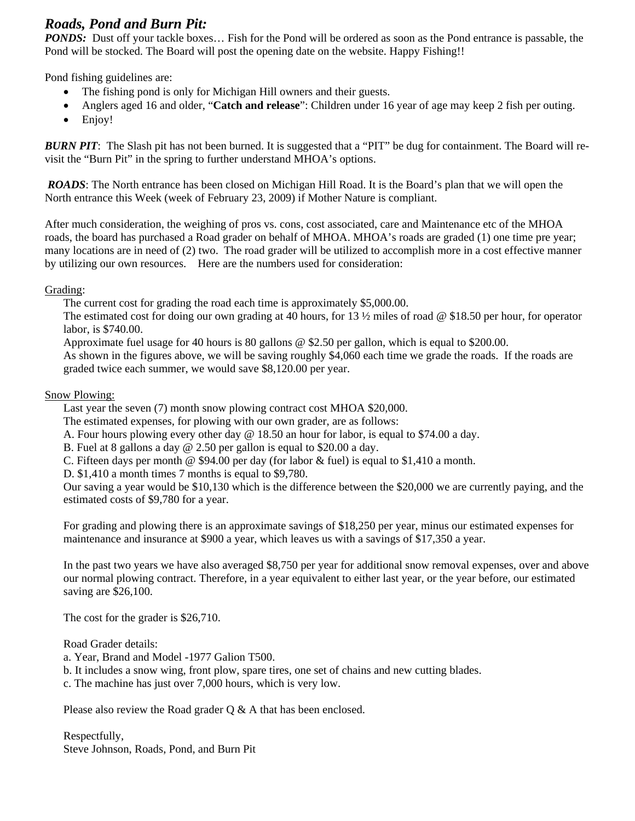*Roads, Pond and Burn Pit:*<br>*PONDS:* Dust off your tackle boxes... Fish for the Pond will be ordered as soon as the Pond entrance is passable, the Pond will be stocked. The Board will post the opening date on the website. Happy Fishing!!

Pond fishing guidelines are:

- The fishing pond is only for Michigan Hill owners and their guests.
- Anglers aged 16 and older, "**Catch and release**": Children under 16 year of age may keep 2 fish per outing.
- Enjoy!

*BURN PIT*: The Slash pit has not been burned. It is suggested that a "PIT" be dug for containment. The Board will revisit the "Burn Pit" in the spring to further understand MHOA's options.

 *ROADS*: The North entrance has been closed on Michigan Hill Road. It is the Board's plan that we will open the North entrance this Week (week of February 23, 2009) if Mother Nature is compliant.

After much consideration, the weighing of pros vs. cons, cost associated, care and Maintenance etc of the MHOA roads, the board has purchased a Road grader on behalf of MHOA. MHOA's roads are graded (1) one time pre year; many locations are in need of (2) two. The road grader will be utilized to accomplish more in a cost effective manner by utilizing our own resources. Here are the numbers used for consideration:

## Grading:

The current cost for grading the road each time is approximately \$5,000.00.

The estimated cost for doing our own grading at 40 hours, for 13 ½ miles of road @ \$18.50 per hour, for operator labor, is \$740.00.

Approximate fuel usage for 40 hours is 80 gallons @ \$2.50 per gallon, which is equal to \$200.00.

As shown in the figures above, we will be saving roughly \$4,060 each time we grade the roads. If the roads are graded twice each summer, we would save \$8,120.00 per year.

### Snow Plowing:

Last year the seven (7) month snow plowing contract cost MHOA \$20,000.

The estimated expenses, for plowing with our own grader, are as follows:

A. Four hours plowing every other day @ 18.50 an hour for labor, is equal to \$74.00 a day.

B. Fuel at 8 gallons a day @ 2.50 per gallon is equal to \$20.00 a day.

C. Fifteen days per month  $\circledcirc$  \$94.00 per day (for labor  $\&$  fuel) is equal to \$1,410 a month.

D. \$1,410 a month times 7 months is equal to \$9,780.

Our saving a year would be \$10,130 which is the difference between the \$20,000 we are currently paying, and the estimated costs of \$9,780 for a year.

For grading and plowing there is an approximate savings of \$18,250 per year, minus our estimated expenses for maintenance and insurance at \$900 a year, which leaves us with a savings of \$17,350 a year.

In the past two years we have also averaged \$8,750 per year for additional snow removal expenses, over and above our normal plowing contract. Therefore, in a year equivalent to either last year, or the year before, our estimated saving are \$26,100.

The cost for the grader is \$26,710.

Road Grader details:

- a. Year, Brand and Model -1977 Galion T500.
- b. It includes a snow wing, front plow, spare tires, one set of chains and new cutting blades.
- c. The machine has just over 7,000 hours, which is very low.

Please also review the Road grader O & A that has been enclosed.

Respectfully, Steve Johnson, Roads, Pond, and Burn Pit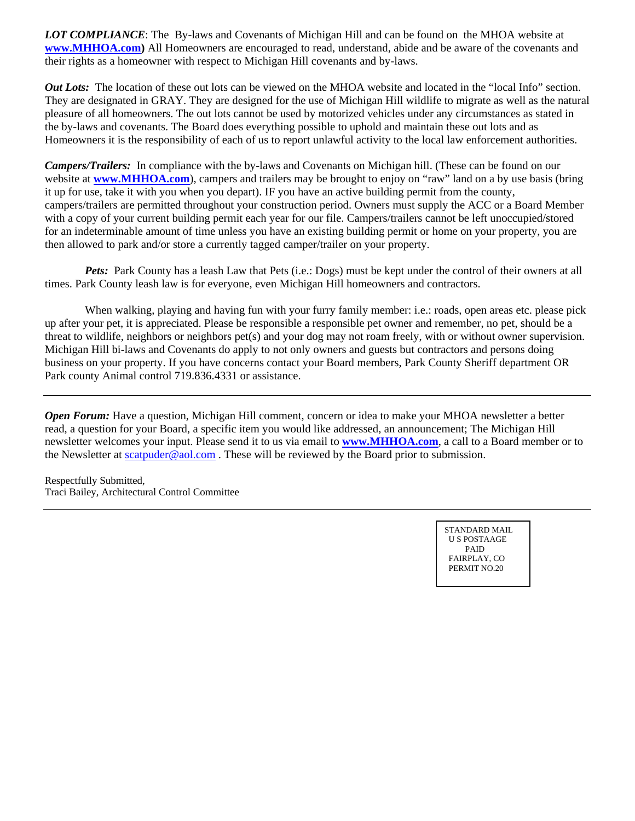*LOT COMPLIANCE*: The By-laws and Covenants of Michigan Hill and can be found on the MHOA website at **www.MHHOA.com)** All Homeowners are encouraged to read, understand, abide and be aware of the covenants and their rights as a homeowner with respect to Michigan Hill covenants and by-laws.

*Out Lots:* The location of these out lots can be viewed on the MHOA website and located in the "local Info" section. They are designated in GRAY. They are designed for the use of Michigan Hill wildlife to migrate as well as the natural pleasure of all homeowners. The out lots cannot be used by motorized vehicles under any circumstances as stated in the by-laws and covenants. The Board does everything possible to uphold and maintain these out lots and as Homeowners it is the responsibility of each of us to report unlawful activity to the local law enforcement authorities.

*Campers/Trailers:* In compliance with the by-laws and Covenants on Michigan hill. (These can be found on our website at **www.MHHOA.com**), campers and trailers may be brought to enjoy on "raw" land on a by use basis (bring it up for use, take it with you when you depart). IF you have an active building permit from the county, campers/trailers are permitted throughout your construction period. Owners must supply the ACC or a Board Member with a copy of your current building permit each year for our file. Campers/trailers cannot be left unoccupied/stored for an indeterminable amount of time unless you have an existing building permit or home on your property, you are then allowed to park and/or store a currently tagged camper/trailer on your property.

*Pets:* Park County has a leash Law that Pets (i.e.: Dogs) must be kept under the control of their owners at all times. Park County leash law is for everyone, even Michigan Hill homeowners and contractors.

When walking, playing and having fun with your furry family member: i.e.: roads, open areas etc. please pick up after your pet, it is appreciated. Please be responsible a responsible pet owner and remember, no pet, should be a threat to wildlife, neighbors or neighbors pet(s) and your dog may not roam freely, with or without owner supervision. Michigan Hill bi-laws and Covenants do apply to not only owners and guests but contractors and persons doing business on your property. If you have concerns contact your Board members, Park County Sheriff department OR Park county Animal control 719.836.4331 or assistance.

*Open Forum:* Have a question, Michigan Hill comment, concern or idea to make your MHOA newsletter a better read, a question for your Board, a specific item you would like addressed, an announcement; The Michigan Hill newsletter welcomes your input. Please send it to us via email to **www.MHHOA.com**, a call to a Board member or to the Newsletter at scatpuder@aol.com . These will be reviewed by the Board prior to submission.

Respectfully Submitted, Traci Bailey, Architectural Control Committee

> STANDARD MAIL U S POSTAAGE PAID FAIRPLAY, CO PERMIT NO. 20